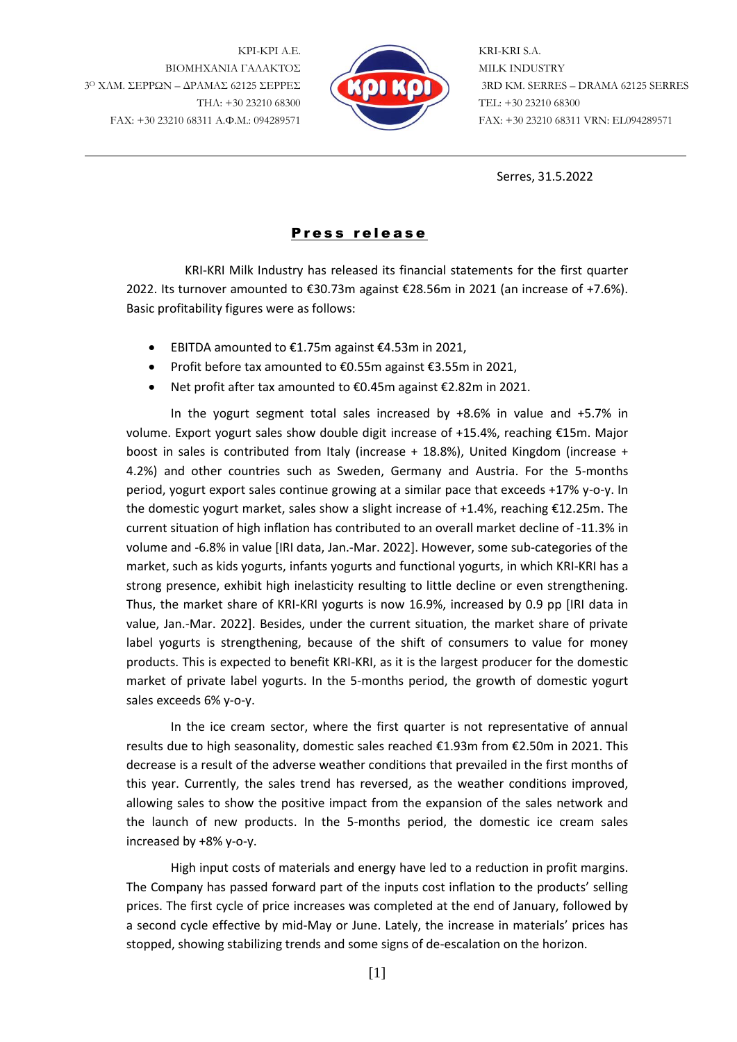ΚΡΙ-ΚΡΙ Α.Ε. ΒΙΟΜΗΧΑΝΙΑ ΓΑΛΑΚΤΟΣ 3<sup>Ο</sup> ΧΛΜ. ΣΕΡΡΩΝ – ΔΡΑΜΑΣ 62125 ΣΕΡΡΕΣ ΤΗΛ: +30 23210 68300 FAX: +30 23210 68311 Α.Φ.Μ.: 094289571



KRI-KRI S.A. MILK INDUSTRY 3RD KM. SERRES – DRAMA 62125 SERRES TEL: +30 23210 68300 FAX: +30 23210 68311 VRN: EL094289571

Serres, 31.5.2022

## Press release

KRI-KRI Milk Industry has released its financial statements for the first quarter 2022. Its turnover amounted to €30.73m against €28.56m in 2021 (an increase of +7.6%). Basic profitability figures were as follows:

- EBITDA amounted to €1.75m against €4.53m in 2021,
- Profit before tax amounted to €0.55m against €3.55m in 2021,
- Net profit after tax amounted to €0.45m against €2.82m in 2021.

In the yogurt segment total sales increased by +8.6% in value and +5.7% in volume. Export yogurt sales show double digit increase of +15.4%, reaching €15m. Major boost in sales is contributed from Italy (increase + 18.8%), United Kingdom (increase + 4.2%) and other countries such as Sweden, Germany and Austria. For the 5-months period, yogurt export sales continue growing at a similar pace that exceeds +17% y-o-y. In the domestic yogurt market, sales show a slight increase of +1.4%, reaching €12.25m. The current situation of high inflation has contributed to an overall market decline of -11.3% in volume and -6.8% in value [IRI data, Jan.-Mar. 2022]. However, some sub-categories of the market, such as kids yogurts, infants yogurts and functional yogurts, in which KRI-KRI has a strong presence, exhibit high inelasticity resulting to little decline or even strengthening. Thus, the market share of KRI-KRI yogurts is now 16.9%, increased by 0.9 pp [IRI data in value, Jan.-Mar. 2022]. Besides, under the current situation, the market share of private label yogurts is strengthening, because of the shift of consumers to value for money products. This is expected to benefit KRI-KRI, as it is the largest producer for the domestic market of private label yogurts. In the 5-months period, the growth of domestic yogurt sales exceeds 6% y-o-y.

In the ice cream sector, where the first quarter is not representative of annual results due to high seasonality, domestic sales reached €1.93m from €2.50m in 2021. This decrease is a result of the adverse weather conditions that prevailed in the first months of this year. Currently, the sales trend has reversed, as the weather conditions improved, allowing sales to show the positive impact from the expansion of the sales network and the launch of new products. In the 5-months period, the domestic ice cream sales increased by +8% y-o-y.

High input costs of materials and energy have led to a reduction in profit margins. The Company has passed forward part of the inputs cost inflation to the products' selling prices. The first cycle of price increases was completed at the end of January, followed by a second cycle effective by mid-May or June. Lately, the increase in materials' prices has stopped, showing stabilizing trends and some signs of de-escalation on the horizon.